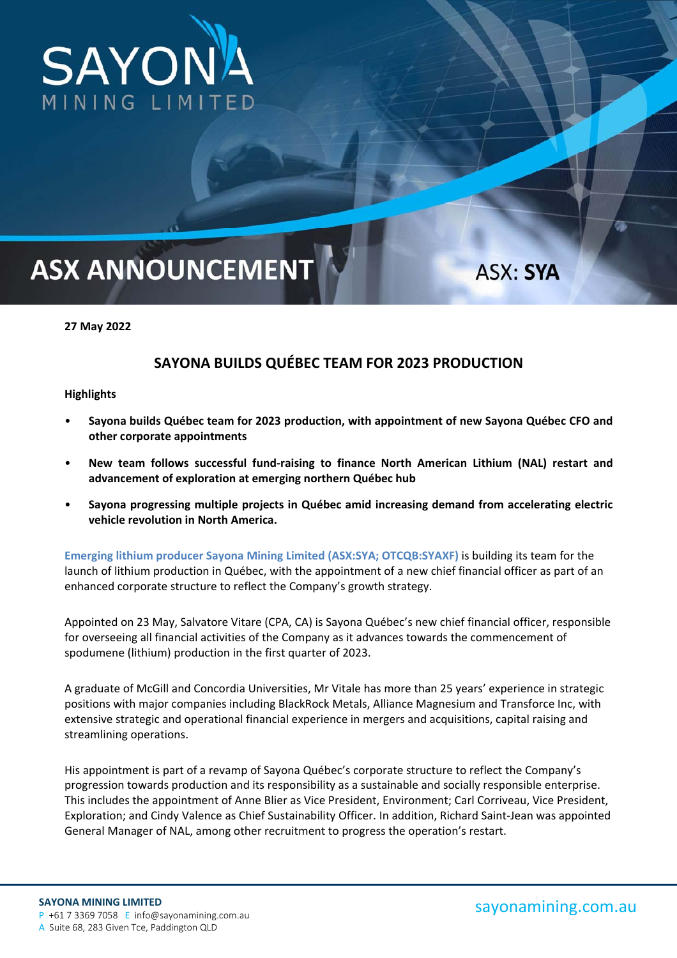

## **ASX ANNOUNCEMENT**

**27 May 2022** 

## **SAYONA BUILDS QUÉBEC TEAM FOR 2023 PRODUCTION**

## **Highlights**

- **Sayona builds Québec team for 2023 production, with appointment of new Sayona Québec CFO and other corporate appointments**
- **New team follows successful fund‐raising to finance North American Lithium (NAL) restart and advancement of exploration at emerging northern Québec hub**
- **Sayona progressing multiple projects in Québec amid increasing demand from accelerating electric vehicle revolution in North America.**

**Emerging lithium producer Sayona Mining Limited (ASX:SYA; OTCQB:SYAXF)** is building its team for the launch of lithium production in Québec, with the appointment of a new chief financial officer as part of an enhanced corporate structure to reflect the Company's growth strategy.

Appointed on 23 May, Salvatore Vitare (CPA, CA) is Sayona Québec's new chief financial officer, responsible for overseeing all financial activities of the Company as it advances towards the commencement of spodumene (lithium) production in the first quarter of 2023.

A graduate of McGill and Concordia Universities, Mr Vitale has more than 25 years' experience in strategic positions with major companies including BlackRock Metals, Alliance Magnesium and Transforce Inc, with extensive strategic and operational financial experience in mergers and acquisitions, capital raising and streamlining operations.

His appointment is part of a revamp of Sayona Québec's corporate structure to reflect the Company's progression towards production and its responsibility as a sustainable and socially responsible enterprise. This includes the appointment of Anne Blier as Vice President, Environment; Carl Corriveau, Vice President, Exploration; and Cindy Valence as Chief Sustainability Officer. In addition, Richard Saint‐Jean was appointed General Manager of NAL, among other recruitment to progress the operation's restart.

ASX: SYA